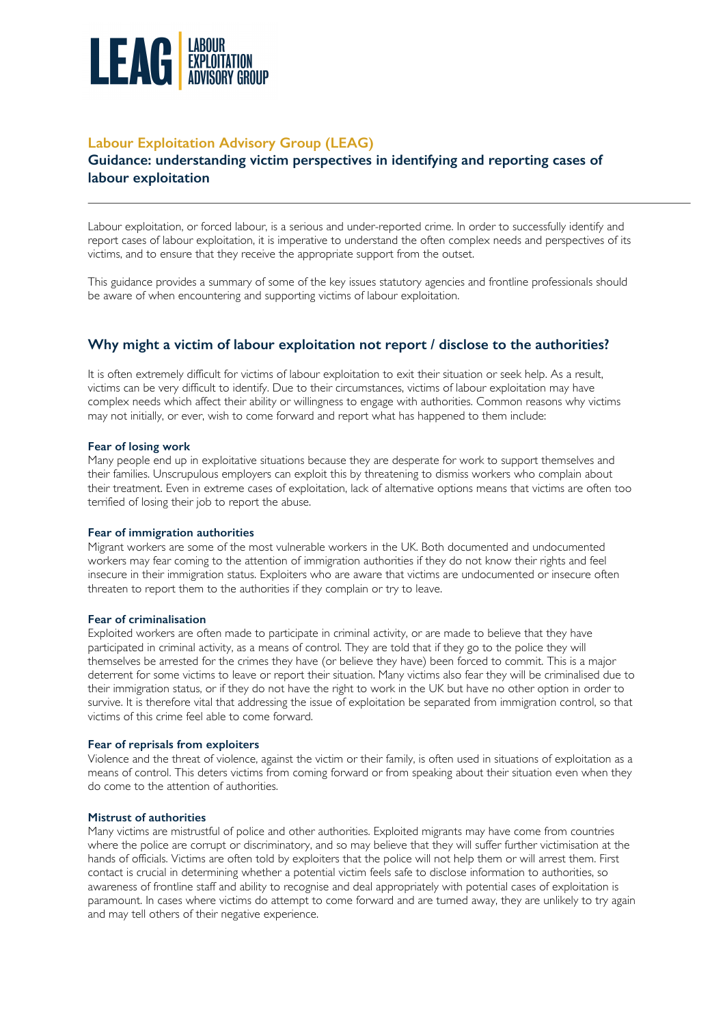

# **Labour Exploitation Advisory Group (LEAG)**

# **Guidance: understanding victim perspectives in identifying and reporting cases of labour exploitation**

Labour exploitation, or forced labour, is a serious and under-reported crime. In order to successfully identify and report cases of labour exploitation, it is imperative to understand the often complex needs and perspectives of its victims, and to ensure that they receive the appropriate support from the outset.

This guidance provides a summary of some of the key issues statutory agencies and frontline professionals should be aware of when encountering and supporting victims of labour exploitation.

# **Why might a victim of labour exploitation not report / disclose to the authorities?**

It is often extremely difficult for victims of labour exploitation to exit their situation or seek help. As a result, victims can be very difficult to identify. Due to their circumstances, victims of labour exploitation may have complex needs which affect their ability or willingness to engage with authorities. Common reasons why victims may not initially, or ever, wish to come forward and report what has happened to them include:

## **Fear of losing work**

Many people end up in exploitative situations because they are desperate for work to support themselves and their families. Unscrupulous employers can exploit this by threatening to dismiss workers who complain about their treatment. Even in extreme cases of exploitation, lack of alternative options means that victims are often too terrified of losing their job to report the abuse.

## **Fear of immigration authorities**

Migrant workers are some of the most vulnerable workers in the UK. Both documented and undocumented workers may fear coming to the attention of immigration authorities if they do not know their rights and feel insecure in their immigration status. Exploiters who are aware that victims are undocumented or insecure often threaten to report them to the authorities if they complain or try to leave.

## **Fear of criminalisation**

Exploited workers are often made to participate in criminal activity, or are made to believe that they have participated in criminal activity, as a means of control. They are told that if they go to the police they will themselves be arrested for the crimes they have (or believe they have) been forced to commit. This is a major deterrent for some victims to leave or report their situation. Many victims also fear they will be criminalised due to their immigration status, or if they do not have the right to work in the UK but have no other option in order to survive. It is therefore vital that addressing the issue of exploitation be separated from immigration control, so that victims of this crime feel able to come forward.

## **Fear of reprisals from exploiters**

Violence and the threat of violence, against the victim or their family, is often used in situations of exploitation as a means of control. This deters victims from coming forward or from speaking about their situation even when they do come to the attention of authorities.

## **Mistrust of authorities**

Many victims are mistrustful of police and other authorities. Exploited migrants may have come from countries where the police are corrupt or discriminatory, and so may believe that they will suffer further victimisation at the hands of officials. Victims are often told by exploiters that the police will not help them or will arrest them. First contact is crucial in determining whether a potential victim feels safe to disclose information to authorities, so awareness of frontline staff and ability to recognise and deal appropriately with potential cases of exploitation is paramount. In cases where victims do attempt to come forward and are turned away, they are unlikely to try again and may tell others of their negative experience.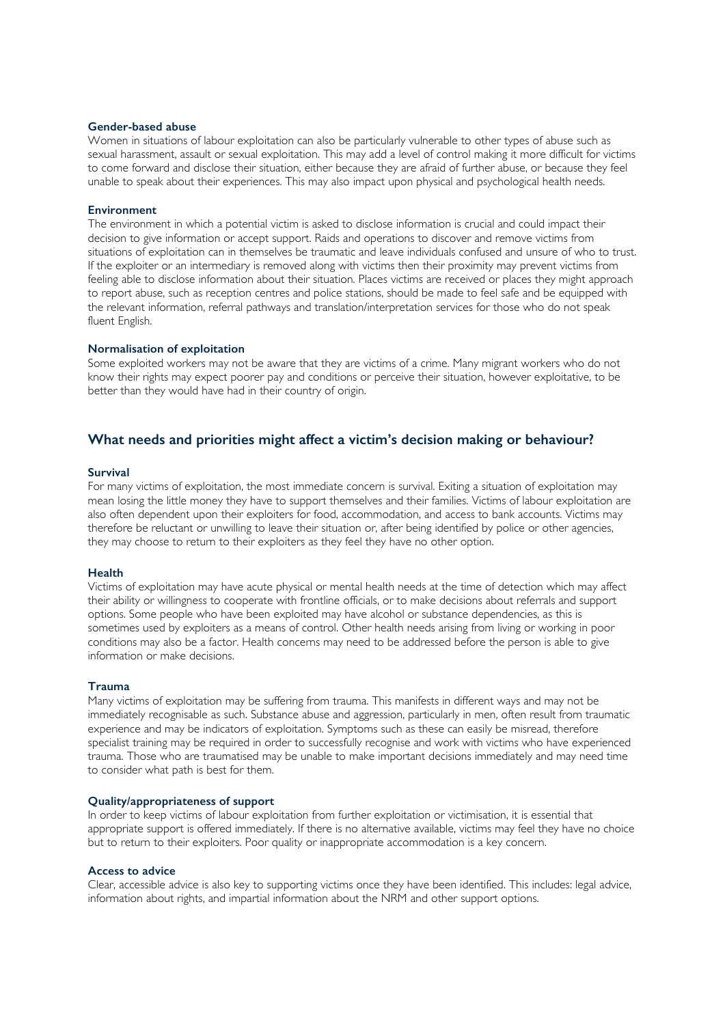## **Gender-based abuse**

Women in situations of labour exploitation can also be particularly vulnerable to other types of abuse such as sexual harassment, assault or sexual exploitation. This may add a level of control making it more difficult for victims to come forward and disclose their situation, either because they are afraid of further abuse, or because they feel unable to speak about their experiences. This may also impact upon physical and psychological health needs.

#### **Environment**

The environment in which a potential victim is asked to disclose information is crucial and could impact their decision to give information or accept support. Raids and operations to discover and remove victims from situations of exploitation can in themselves be traumatic and leave individuals confused and unsure of who to trust. If the exploiter or an intermediary is removed along with victims then their proximity may prevent victims from feeling able to disclose information about their situation. Places victims are received or places they might approach to report abuse, such as reception centres and police stations, should be made to feel safe and be equipped with the relevant information, referral pathways and translation/interpretation services for those who do not speak fluent English.

#### **Normalisation of exploitation**

Some exploited workers may not be aware that they are victims of a crime. Many migrant workers who do not know their rights may expect poorer pay and conditions or perceive their situation, however exploitative, to be better than they would have had in their country of origin.

## **What needs and priorities might affect a victim's decision making or behaviour?**

## **Survival**

For many victims of exploitation, the most immediate concern is survival. Exiting a situation of exploitation may mean losing the little money they have to support themselves and their families. Victims of labour exploitation are also often dependent upon their exploiters for food, accommodation, and access to bank accounts. Victims may therefore be reluctant or unwilling to leave their situation or, after being identified by police or other agencies, they may choose to return to their exploiters as they feel they have no other option.

#### **Health**

Victims of exploitation may have acute physical or mental health needs at the time of detection which may affect their ability or willingness to cooperate with frontline officials, or to make decisions about referrals and support options. Some people who have been exploited may have alcohol or substance dependencies, as this is sometimes used by exploiters as a means of control. Other health needs arising from living or working in poor conditions may also be a factor. Health concerns may need to be addressed before the person is able to give information or make decisions.

### **Trauma**

Many victims of exploitation may be suffering from trauma. This manifests in different ways and may not be immediately recognisable as such. Substance abuse and aggression, particularly in men, often result from traumatic experience and may be indicators of exploitation. Symptoms such as these can easily be misread, therefore specialist training may be required in order to successfully recognise and work with victims who have experienced trauma. Those who are traumatised may be unable to make important decisions immediately and may need time to consider what path is best for them.

### **Quality/appropriateness of support**

In order to keep victims of labour exploitation from further exploitation or victimisation, it is essential that appropriate support is offered immediately. If there is no alternative available, victims may feel they have no choice but to return to their exploiters. Poor quality or inappropriate accommodation is a key concern.

#### **Access to advice**

Clear, accessible advice is also key to supporting victims once they have been identified. This includes: legal advice, information about rights, and impartial information about the NRM and other support options.